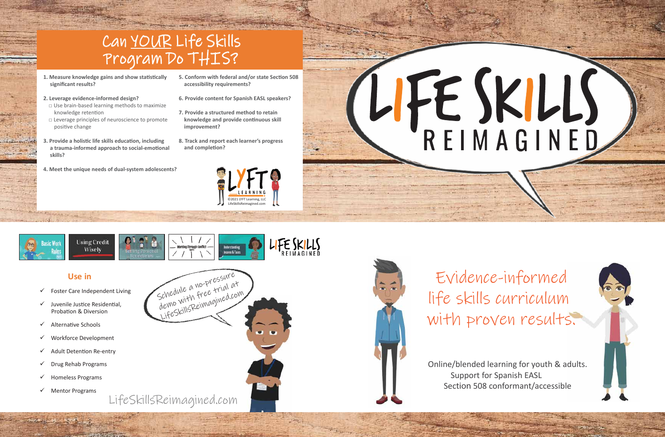

- 1. Measure knowledge gains and show statistically  **significant results?**
- **2. Leverage evidence-informed design?**
- $\Box$  Use brain-based learning methods to maximize knowledge retention
- □ Leverage principles of neuroscience to promote positive change
- **Provide a holistic life skills education, including** a trauma-informed approach to social-emotional  **skills?**
- **4. Meet the unique needs of dual-system adolescents?**
- **5. Conform with federal and/or state Section 508 accessibility requirements?**
- **6. Provide content for Spanish EASL speakers?**
- **7. Provide a structured method to retain**  knowledge and provide continuous skill  **improvement?**
- **8. Track and report each learner's progress**  and completion?





## Can YOUR Life Skills Program Do THIS?

Evidence-informed life skills curriculum with proven results.

Online/blended learning for youth & adults. Support for Spanish EASL Section 508 conformant/accessible

## LIFE SKILLS